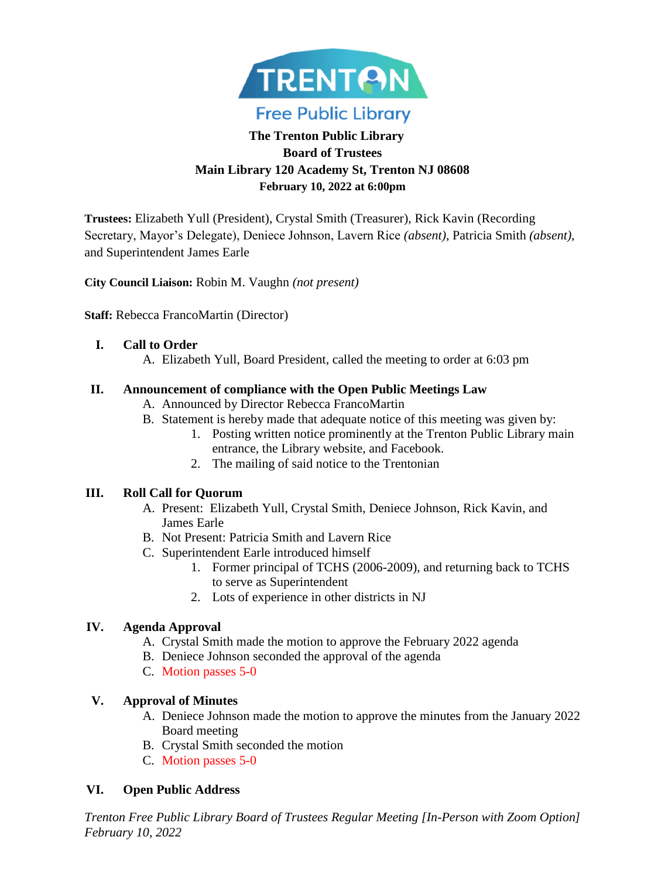

# **The Trenton Public Library Board of Trustees Main Library 120 Academy St, Trenton NJ 08608 February 10, 2022 at 6:00pm**

**Trustees:** Elizabeth Yull (President), Crystal Smith (Treasurer), Rick Kavin (Recording Secretary, Mayor's Delegate), Deniece Johnson, Lavern Rice *(absent)*, Patricia Smith *(absent)*, and Superintendent James Earle

**City Council Liaison:** Robin M. Vaughn *(not present)*

**Staff:** Rebecca FrancoMartin (Director)

#### **I. Call to Order**

A. Elizabeth Yull, Board President, called the meeting to order at 6:03 pm

#### **II. Announcement of compliance with the Open Public Meetings Law**

- A. Announced by Director Rebecca FrancoMartin
- B. Statement is hereby made that adequate notice of this meeting was given by:
	- 1. Posting written notice prominently at the Trenton Public Library main entrance, the Library website, and Facebook.
	- 2. The mailing of said notice to the Trentonian

#### **III. Roll Call for Quorum**

- A. Present: Elizabeth Yull, Crystal Smith, Deniece Johnson, Rick Kavin, and James Earle
- B. Not Present: Patricia Smith and Lavern Rice
- C. Superintendent Earle introduced himself
	- 1. Former principal of TCHS (2006-2009), and returning back to TCHS to serve as Superintendent
	- 2. Lots of experience in other districts in NJ

### **IV. Agenda Approval**

- A. Crystal Smith made the motion to approve the February 2022 agenda
- B. Deniece Johnson seconded the approval of the agenda
- C. Motion passes 5-0

### **V. Approval of Minutes**

- A. Deniece Johnson made the motion to approve the minutes from the January 2022 Board meeting
- B. Crystal Smith seconded the motion
- C. Motion passes 5-0

### **VI. Open Public Address**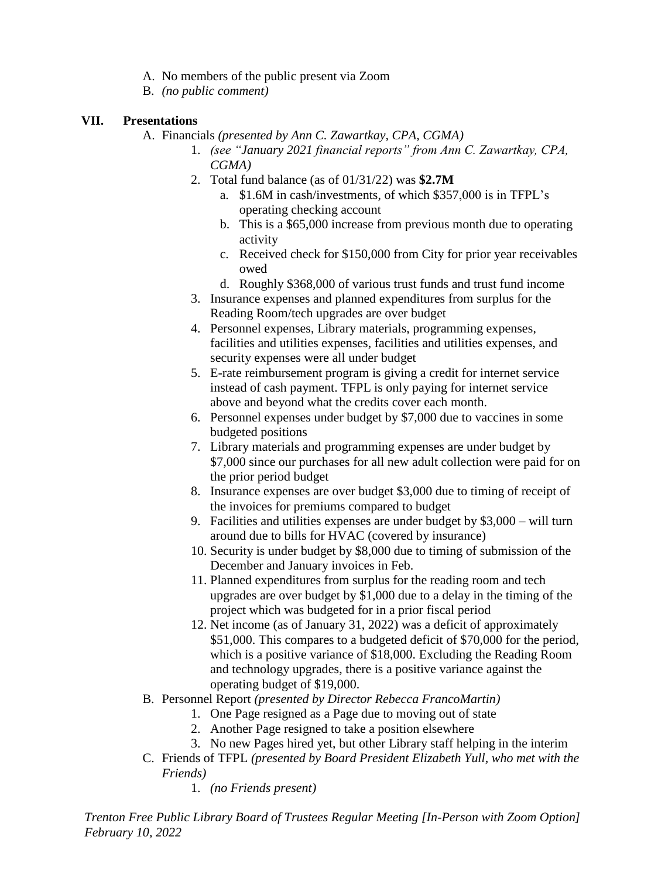- A. No members of the public present via Zoom
- B. *(no public comment)*

### **VII. Presentations**

- A. Financials *(presented by Ann C. Zawartkay, CPA, CGMA)*
	- 1. *(see "January 2021 financial reports" from Ann C. Zawartkay, CPA, CGMA)*
	- 2. Total fund balance (as of 01/31/22) was **\$2.7M**
		- a. \$1.6M in cash/investments, of which \$357,000 is in TFPL's operating checking account
		- b. This is a \$65,000 increase from previous month due to operating activity
		- c. Received check for \$150,000 from City for prior year receivables owed
		- d. Roughly \$368,000 of various trust funds and trust fund income
	- 3. Insurance expenses and planned expenditures from surplus for the Reading Room/tech upgrades are over budget
	- 4. Personnel expenses, Library materials, programming expenses, facilities and utilities expenses, facilities and utilities expenses, and security expenses were all under budget
	- 5. E-rate reimbursement program is giving a credit for internet service instead of cash payment. TFPL is only paying for internet service above and beyond what the credits cover each month.
	- 6. Personnel expenses under budget by \$7,000 due to vaccines in some budgeted positions
	- 7. Library materials and programming expenses are under budget by \$7,000 since our purchases for all new adult collection were paid for on the prior period budget
	- 8. Insurance expenses are over budget \$3,000 due to timing of receipt of the invoices for premiums compared to budget
	- 9. Facilities and utilities expenses are under budget by \$3,000 will turn around due to bills for HVAC (covered by insurance)
	- 10. Security is under budget by \$8,000 due to timing of submission of the December and January invoices in Feb.
	- 11. Planned expenditures from surplus for the reading room and tech upgrades are over budget by \$1,000 due to a delay in the timing of the project which was budgeted for in a prior fiscal period
	- 12. Net income (as of January 31, 2022) was a deficit of approximately \$51,000. This compares to a budgeted deficit of \$70,000 for the period, which is a positive variance of \$18,000. Excluding the Reading Room and technology upgrades, there is a positive variance against the operating budget of \$19,000.
- B. Personnel Report *(presented by Director Rebecca FrancoMartin)*
	- 1. One Page resigned as a Page due to moving out of state
	- 2. Another Page resigned to take a position elsewhere
	- 3. No new Pages hired yet, but other Library staff helping in the interim
- C. Friends of TFPL *(presented by Board President Elizabeth Yull, who met with the Friends)*
	- 1. *(no Friends present)*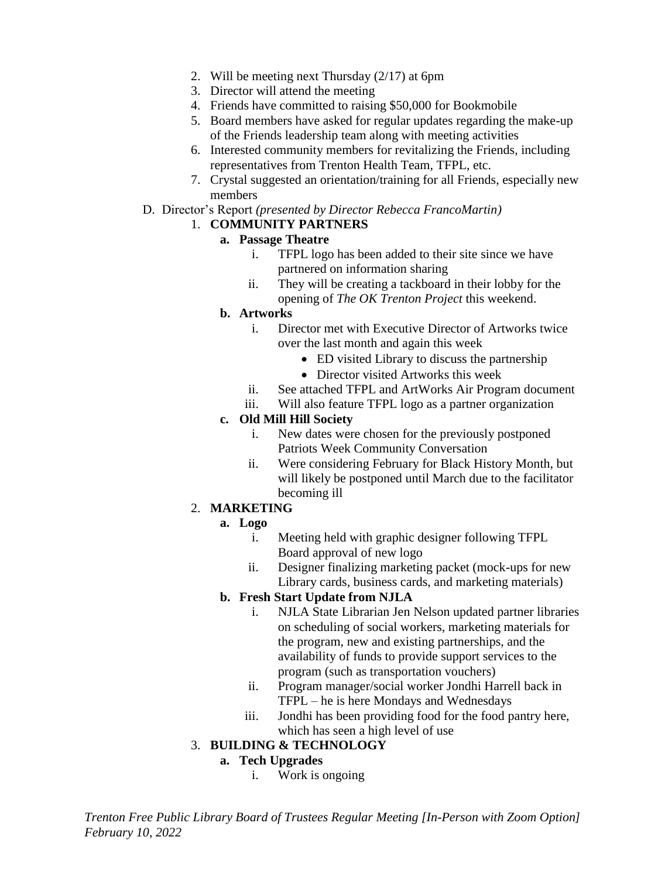- 2. Will be meeting next Thursday (2/17) at 6pm
- 3. Director will attend the meeting
- 4. Friends have committed to raising \$50,000 for Bookmobile
- 5. Board members have asked for regular updates regarding the make-up of the Friends leadership team along with meeting activities
- 6. Interested community members for revitalizing the Friends, including representatives from Trenton Health Team, TFPL, etc.
- 7. Crystal suggested an orientation/training for all Friends, especially new members
- D. Director's Report *(presented by Director Rebecca FrancoMartin)*

## 1. **COMMUNITY PARTNERS**

#### **a. Passage Theatre**

- i. TFPL logo has been added to their site since we have partnered on information sharing
- ii. They will be creating a tackboard in their lobby for the opening of *The OK Trenton Project* this weekend.

#### **b. Artworks**

- i. Director met with Executive Director of Artworks twice over the last month and again this week
	- ED visited Library to discuss the partnership
	- Director visited Artworks this week
- ii. See attached TFPL and ArtWorks Air Program document
- iii. Will also feature TFPL logo as a partner organization

#### **c. Old Mill Hill Society**

- i. New dates were chosen for the previously postponed Patriots Week Community Conversation
- ii. Were considering February for Black History Month, but will likely be postponed until March due to the facilitator becoming ill

### 2. **MARKETING**

### **a. Logo**

- i. Meeting held with graphic designer following TFPL Board approval of new logo
- ii. Designer finalizing marketing packet (mock-ups for new Library cards, business cards, and marketing materials)

### **b. Fresh Start Update from NJLA**

- i. NJLA State Librarian Jen Nelson updated partner libraries on scheduling of social workers, marketing materials for the program, new and existing partnerships, and the availability of funds to provide support services to the program (such as transportation vouchers)
- ii. Program manager/social worker Jondhi Harrell back in TFPL – he is here Mondays and Wednesdays
- iii. Jondhi has been providing food for the food pantry here, which has seen a high level of use

### 3. **BUILDING & TECHNOLOGY**

### **a. Tech Upgrades**

i. Work is ongoing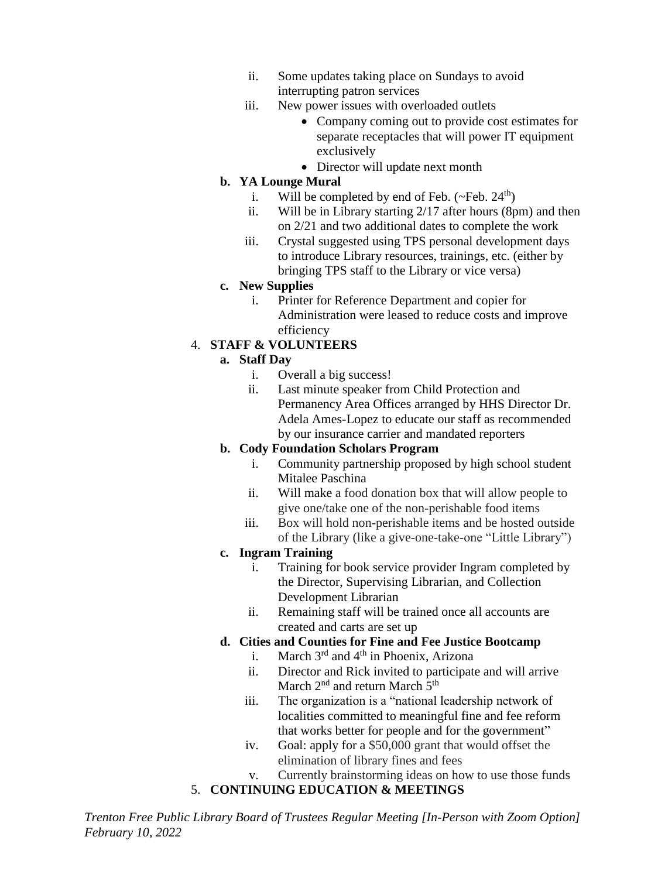- ii. Some updates taking place on Sundays to avoid interrupting patron services
- iii. New power issues with overloaded outlets
	- Company coming out to provide cost estimates for separate receptacles that will power IT equipment exclusively
	- Director will update next month

## **b. YA Lounge Mural**

- i. Will be completed by end of Feb.  $(\sim$ Feb.  $24^{th}$ )
- ii. Will be in Library starting 2/17 after hours (8pm) and then on 2/21 and two additional dates to complete the work
- iii. Crystal suggested using TPS personal development days to introduce Library resources, trainings, etc. (either by bringing TPS staff to the Library or vice versa)

### **c. New Supplies**

i. Printer for Reference Department and copier for Administration were leased to reduce costs and improve efficiency

# 4. **STAFF & VOLUNTEERS**

## **a. Staff Day**

- i. Overall a big success!
- ii. Last minute speaker from Child Protection and Permanency Area Offices arranged by HHS Director Dr. Adela Ames-Lopez to educate our staff as recommended by our insurance carrier and mandated reporters

### **b. Cody Foundation Scholars Program**

- i. Community partnership proposed by high school student Mitalee Paschina
- ii. Will make a food donation box that will allow people to give one/take one of the non-perishable food items
- iii. Box will hold non-perishable items and be hosted outside of the Library (like a give-one-take-one "Little Library")

### **c. Ingram Training**

- i. Training for book service provider Ingram completed by the Director, Supervising Librarian, and Collection Development Librarian
- ii. Remaining staff will be trained once all accounts are created and carts are set up

## **d. Cities and Counties for Fine and Fee Justice Bootcamp**

- i. March  $3<sup>rd</sup>$  and  $4<sup>th</sup>$  in Phoenix, Arizona
- ii. Director and Rick invited to participate and will arrive March  $2<sup>nd</sup>$  and return March  $5<sup>th</sup>$
- iii. The organization is a "national leadership network of localities committed to meaningful fine and fee reform that works better for people and for the government"
- iv. Goal: apply for a \$50,000 grant that would offset the elimination of library fines and fees
- v. Currently brainstorming ideas on how to use those funds

# 5. **CONTINUING EDUCATION & MEETINGS**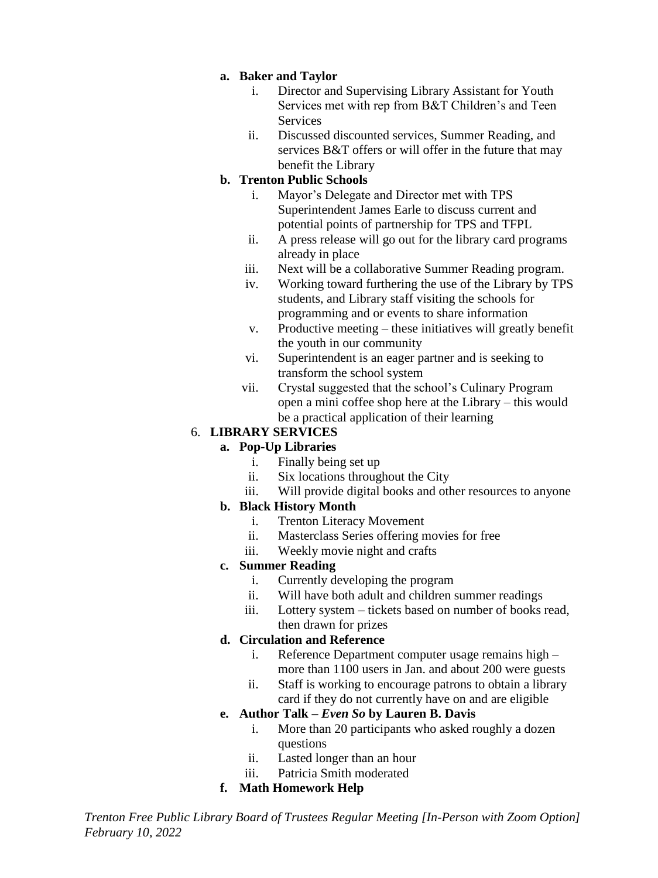#### **a. Baker and Taylor**

- i. Director and Supervising Library Assistant for Youth Services met with rep from B&T Children's and Teen **Services**
- ii. Discussed discounted services, Summer Reading, and services B&T offers or will offer in the future that may benefit the Library

### **b. Trenton Public Schools**

- i. Mayor's Delegate and Director met with TPS Superintendent James Earle to discuss current and potential points of partnership for TPS and TFPL
- ii. A press release will go out for the library card programs already in place
- iii. Next will be a collaborative Summer Reading program.
- iv. Working toward furthering the use of the Library by TPS students, and Library staff visiting the schools for programming and or events to share information
- v. Productive meeting these initiatives will greatly benefit the youth in our community
- vi. Superintendent is an eager partner and is seeking to transform the school system
- vii. Crystal suggested that the school's Culinary Program open a mini coffee shop here at the Library – this would be a practical application of their learning

## 6. **LIBRARY SERVICES**

# **a. Pop-Up Libraries**

- i. Finally being set up
- ii. Six locations throughout the City
- iii. Will provide digital books and other resources to anyone

### **b. Black History Month**

- i. Trenton Literacy Movement
- ii. Masterclass Series offering movies for free
- iii. Weekly movie night and crafts

### **c. Summer Reading**

- i. Currently developing the program
- ii. Will have both adult and children summer readings
- iii. Lottery system tickets based on number of books read, then drawn for prizes

### **d. Circulation and Reference**

- i. Reference Department computer usage remains high more than 1100 users in Jan. and about 200 were guests
- ii. Staff is working to encourage patrons to obtain a library card if they do not currently have on and are eligible

### **e. Author Talk –** *Even So* **by Lauren B. Davis**

- i. More than 20 participants who asked roughly a dozen questions
- ii. Lasted longer than an hour
- iii. Patricia Smith moderated

### **f. Math Homework Help**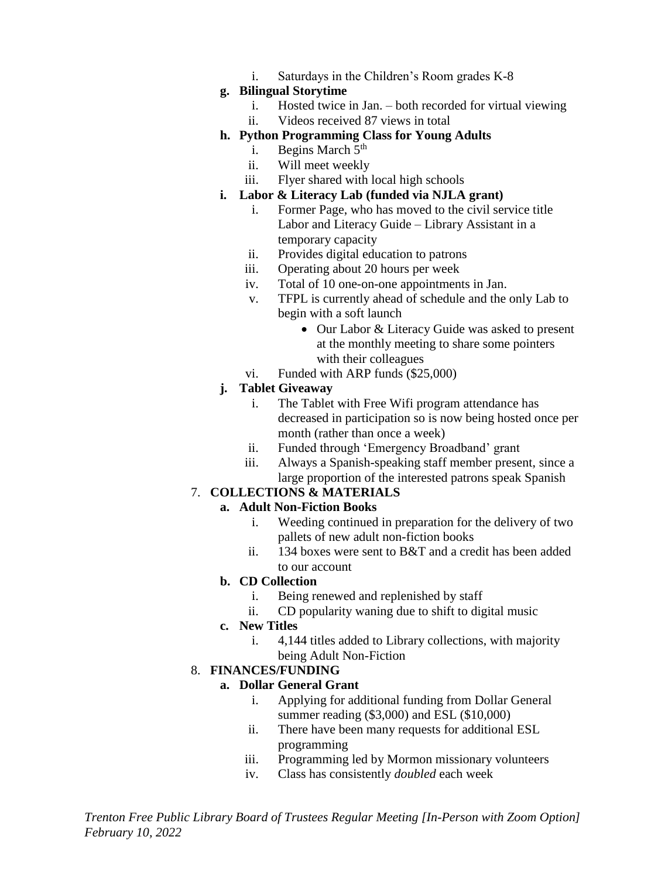i. Saturdays in the Children's Room grades K-8

#### **g. Bilingual Storytime**

- i. Hosted twice in Jan. both recorded for virtual viewing
- ii. Videos received 87 views in total

### **h. Python Programming Class for Young Adults**

- i. Begins March  $5<sup>th</sup>$
- ii. Will meet weekly
- iii. Flyer shared with local high schools

## **i. Labor & Literacy Lab (funded via NJLA grant)**

- i. Former Page, who has moved to the civil service title Labor and Literacy Guide – Library Assistant in a temporary capacity
- ii. Provides digital education to patrons
- iii. Operating about 20 hours per week
- iv. Total of 10 one-on-one appointments in Jan.
- v. TFPL is currently ahead of schedule and the only Lab to begin with a soft launch
	- Our Labor & Literacy Guide was asked to present at the monthly meeting to share some pointers with their colleagues
- vi. Funded with ARP funds (\$25,000)

# **j. Tablet Giveaway**

- i. The Tablet with Free Wifi program attendance has decreased in participation so is now being hosted once per month (rather than once a week)
- ii. Funded through 'Emergency Broadband' grant
- iii. Always a Spanish-speaking staff member present, since a large proportion of the interested patrons speak Spanish

# 7. **COLLECTIONS & MATERIALS**

# **a. Adult Non-Fiction Books**

- i. Weeding continued in preparation for the delivery of two pallets of new adult non-fiction books
- ii. 134 boxes were sent to B&T and a credit has been added to our account

# **b. CD Collection**

- i. Being renewed and replenished by staff
- ii. CD popularity waning due to shift to digital music

### **c. New Titles**

i. 4,144 titles added to Library collections, with majority being Adult Non-Fiction

# 8. **FINANCES/FUNDING**

### **a. Dollar General Grant**

- i. Applying for additional funding from Dollar General summer reading (\$3,000) and ESL (\$10,000)
- ii. There have been many requests for additional ESL programming
- iii. Programming led by Mormon missionary volunteers
- iv. Class has consistently *doubled* each week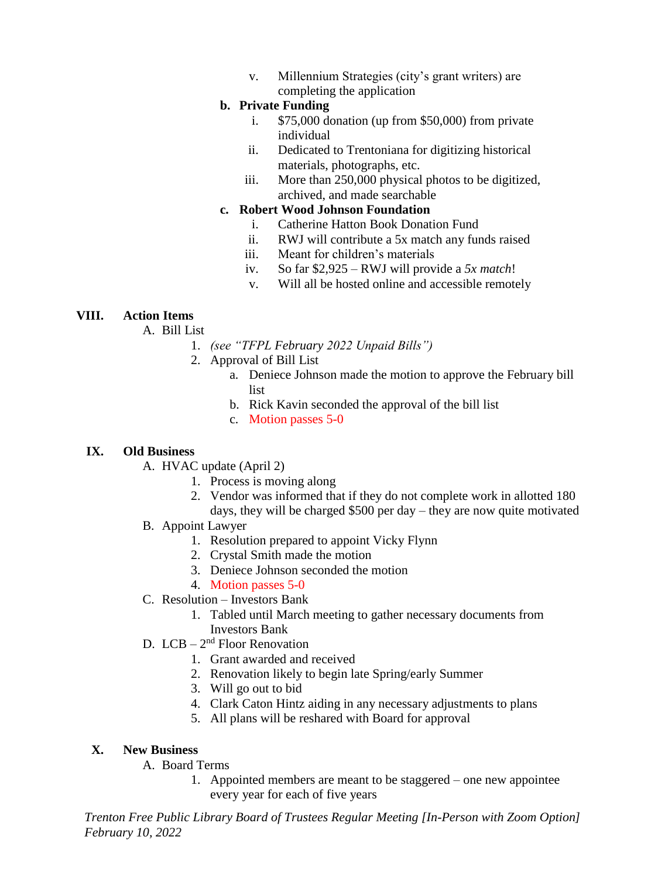v. Millennium Strategies (city's grant writers) are completing the application

### **b. Private Funding**

- i. \$75,000 donation (up from \$50,000) from private individual
- ii. Dedicated to Trentoniana for digitizing historical materials, photographs, etc.
- iii. More than 250,000 physical photos to be digitized, archived, and made searchable

### **c. Robert Wood Johnson Foundation**

- i. Catherine Hatton Book Donation Fund
- ii. RWJ will contribute a 5x match any funds raised
- iii. Meant for children's materials
- iv. So far \$2,925 RWJ will provide a *5x match*!
- v. Will all be hosted online and accessible remotely

### **VIII. Action Items**

A. Bill List

- 1. *(see "TFPL February 2022 Unpaid Bills")*
- 2. Approval of Bill List
	- a. Deniece Johnson made the motion to approve the February bill list
	- b. Rick Kavin seconded the approval of the bill list
	- c. Motion passes 5-0

### **IX. Old Business**

- A. HVAC update (April 2)
	- 1. Process is moving along
	- 2. Vendor was informed that if they do not complete work in allotted 180 days, they will be charged \$500 per day – they are now quite motivated
- B. Appoint Lawyer
	- 1. Resolution prepared to appoint Vicky Flynn
	- 2. Crystal Smith made the motion
	- 3. Deniece Johnson seconded the motion
	- 4. Motion passes 5-0
- C. Resolution Investors Bank
	- 1. Tabled until March meeting to gather necessary documents from Investors Bank
- D.  $LCB 2<sup>nd</sup>$  Floor Renovation
	- 1. Grant awarded and received
	- 2. Renovation likely to begin late Spring/early Summer
	- 3. Will go out to bid
	- 4. Clark Caton Hintz aiding in any necessary adjustments to plans
	- 5. All plans will be reshared with Board for approval

### **X. New Business**

- A. Board Terms
	- 1. Appointed members are meant to be staggered one new appointee every year for each of five years